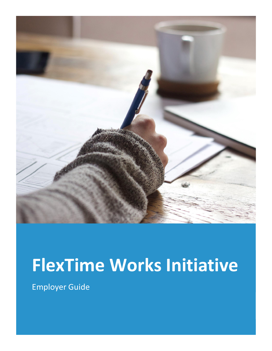

# **FlexTime Works Initiative**

Employer Guide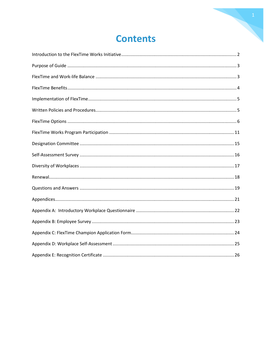### **Contents**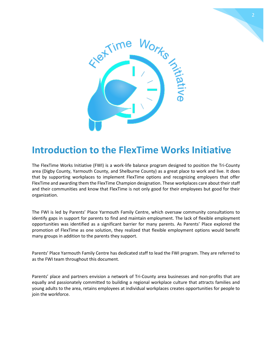



### <span id="page-2-0"></span>**Introduction to the FlexTime Works Initiative**

The FlexTime Works Initiative (FWI) is a work-life balance program designed to position the Tri-County area (Digby County, Yarmouth County, and Shelburne County) as a great place to work and live. It does that by supporting workplaces to implement FlexTime options and recognizing employers that offer FlexTime and awarding them the FlexTime Champion designation. These workplaces care about their staff and their communities and know that FlexTime is not only good for their employees but good for their organization.

The FWI is led by Parents' Place Yarmouth Family Centre, which oversaw community consultations to identify gaps in support for parents to find and maintain employment. The lack of flexible employment opportunities was identified as a significant barrier for many parents. As Parents' Place explored the promotion of FlexTime as one solution, they realized that flexible employment options would benefit many groups in addition to the parents they support.

Parents' Place Yarmouth Family Centre has dedicated staff to lead the FWI program. They are referred to as the FWI team throughout this document.

Parents' place and partners envision a network of Tri-County area businesses and non-profits that are equally and passionately committed to building a regional workplace culture that attracts families and young adults to the area, retains employees at individual workplaces creates opportunities for people to join the workforce.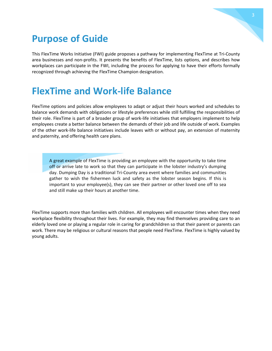

## <span id="page-3-0"></span>**Purpose of Guide**

This FlexTime Works Initiative (FWI) guide proposes a pathway for implementing FlexTime at Tri-County area businesses and non-profits. It presents the benefits of FlexTime, lists options, and describes how workplaces can participate in the FWI, including the process for applying to have their efforts formally recognized through achieving the FlexTime Champion designation.

### <span id="page-3-1"></span>**FlexTime and Work-life Balance**

FlexTime options and policies allow employees to adapt or adjust their hours worked and schedules to balance work demands with obligations or lifestyle preferences while still fulfilling the responsibilities of their role. FlexTime is part of a broader group of work-life initiatives that employers implement to help employees create a better balance between the demands of their job and life outside of work. Examples of the other work-life balance initiatives include leaves with or without pay, an extension of maternity and paternity, and offering health care plans.

A great example of FlexTime is providing an employee with the opportunity to take time off or arrive late to work so that they can participate in the lobster industry's dumping day. Dumping Day is a traditional Tri-County area event where families and communities gather to wish the fishermen luck and safety as the lobster season begins. If this is important to your employee(s), they can see their partner or other loved one off to sea and still make up their hours at another time.

FlexTime supports more than families with children. All employees will encounter times when they need workplace flexibility throughout their lives. For example, they may find themselves providing care to an elderly loved one or playing a regular role in caring for grandchildren so that their parent or parents can work. There may be religious or cultural reasons that people need FlexTime. FlexTime is highly valued by young adults.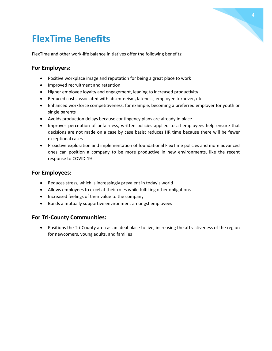## <span id="page-4-0"></span>**FlexTime Benefits**

FlexTime and other work-life balance initiatives offer the following benefits:

#### **For Employers:**

- Positive workplace image and reputation for being a great place to work
- Improved recruitment and retention
- Higher employee loyalty and engagement, leading to increased productivity
- Reduced costs associated with absenteeism, lateness, employee turnover, etc.
- Enhanced workforce competitiveness, for example, becoming a preferred employer for youth or single parents
- Avoids production delays because contingency plans are already in place
- Improves perception of unfairness, written policies applied to all employees help ensure that decisions are not made on a case by case basis; reduces HR time because there will be fewer exceptional cases
- Proactive exploration and implementation of foundational FlexTime policies and more advanced ones can position a company to be more productive in new environments, like the recent response to COVID-19

#### **For Employees:**

- Reduces stress, which is increasingly prevalent in today's world
- Allows employees to excel at their roles while fulfilling other obligations
- Increased feelings of their value to the company
- Builds a mutually supportive environment amongst employees

#### **For Tri-County Communities:**

• Positions the Tri-County area as an ideal place to live, increasing the attractiveness of the region for newcomers, young adults, and families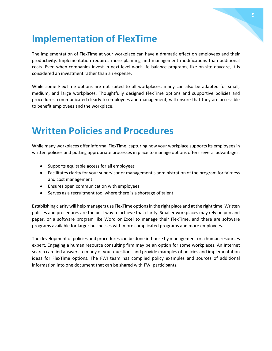### <span id="page-5-0"></span>**Implementation of FlexTime**

The implementation of FlexTime at your workplace can have a dramatic effect on employees and their productivity. Implementation requires more planning and management modifications than additional costs. Even when companies invest in next-level work-life balance programs, like on-site daycare, it is considered an investment rather than an expense.

While some FlexTime options are not suited to all workplaces, many can also be adapted for small, medium, and large workplaces. Thoughtfully designed FlexTime options and supportive policies and procedures, communicated clearly to employees and management, will ensure that they are accessible to benefit employees and the workplace.

### <span id="page-5-1"></span>**Written Policies and Procedures**

While many workplaces offer informal FlexTime, capturing how your workplace supports its employees in written policies and putting appropriate processes in place to manage options offers several advantages:

- Supports equitable access for all employees
- Facilitates clarity for your supervisor or management's administration of the program for fairness and cost management
- Ensures open communication with employees
- Serves as a recruitment tool where there is a shortage of talent

Establishing clarity will help managers use FlexTime options in the right place and at the right time. Written policies and procedures are the best way to achieve that clarity. Smaller workplaces may rely on pen and paper, or a software program like Word or Excel to manage their FlexTime, and there are software programs available for larger businesses with more complicated programs and more employees.

The development of policies and procedures can be done in-house by management or a human resources expert. Engaging a human resource consulting firm may be an option for some workplaces. An Internet search can find answers to many of your questions and provide examples of policies and implementation ideas for FlexTime options. The FWI team has complied policy examples and sources of additional information into one document that can be shared with FWI participants.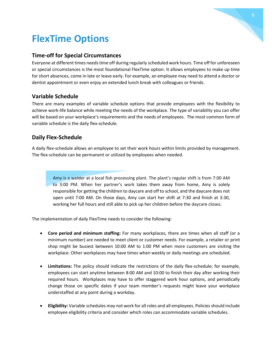## <span id="page-6-0"></span>**FlexTime Options**

#### **Time-off for Special Circumstances**

Everyone at different times needs time off during regularly scheduled work hours. Time off for unforeseen or special circumstances is the most foundational FlexTime option. It allows employees to make up time for short absences, come in late or leave early. For example, an employee may need to attend a doctor or dentist appointment or even enjoy an extended lunch break with colleagues or friends.

#### **Variable Schedule**

There are many examples of variable schedule options that provide employees with the flexibility to achieve work-life balance while meeting the needs of the workplace. The type of variability you can offer will be based on your workplace's requirements and the needs of employees. The most common form of variable schedule is the daily flex-schedule.

#### **Daily Flex-Schedule**

A daily flex-schedule allows an employee to set their work hours within limits provided by management. The flex-schedule can be permanent or utilized by employees when needed.

> Amy is a welder at a local fish processing plant. The plant's regular shift is from 7:00 AM to 3:00 PM. When her partner's work takes them away from home, Amy is solely responsible for getting the children to daycare and off to school, and the daycare does not open until 7:00 AM. On those days, Amy can start her shift at 7:30 and finish at 3:30, working her full hours and still able to pick up her children before the daycare closes.

The implementation of daily FlexTime needs to consider the following:

- **Core period and minimum staffing:** For many workplaces, there are times when all staff (or a minimum number) are needed to meet client or customer needs. For example, a retailer or print shop might be busiest between 10:00 AM to 1:00 PM when more customers are visiting the workplace. Other workplaces may have times when weekly or daily meetings are scheduled.
- **Limitations:** The policy should indicate the restrictions of the daily flex-schedule; for example, employees can start anytime between 8:00 AM and 10:00 to finish their day after working their required hours. Workplaces may have to offer staggered work hour options, and periodically change those on specific dates if your team member's requests might leave your workplace understaffed at any point during a workday.
- **Eligibility:** Variable schedules may not work for all roles and all employees. Policies should include employee eligibility criteria and consider which roles can accommodate variable schedules.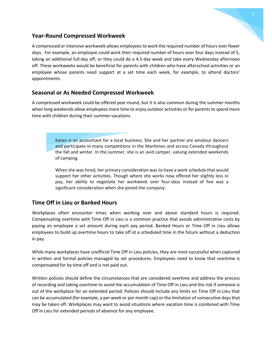

#### **Year-Round Compressed Workweek**

A compressed or intensive workweek allows employees to work the required number of hours over fewer days. For example, an employee could work their required number of hours over four days instead of 5, taking an additional full-day off, or they could do a 4.5-day week and take every Wednesday afternoon off. These workweeks would be beneficial for parents with children who have afterschool activities or an employee whose parents need support at a set time each week, for example, to attend doctors' appointments.

#### **Seasonal or As Needed Compressed Workweek**

A compressed workweek could be offered year-round, but it is also common during the summer months when long weekends allow employees more time to enjoy outdoor activities or for parents to spend more time with children during their summer vacations.

> Karen is an accountant for a local business. She and her partner are amateur dancers and participate in many competitions in the Maritimes and across Canada throughout the fall and winter. In the summer, she is an avid camper, valuing extended weekends of camping.

> When she was hired, her primary consideration was to have a work schedule that would support her other activities. Though where she works now offered her slightly less in pay, her ability to negotiate her workweek over four-days instead of five was a significant consideration when she joined the company.

#### **Time Off in Lieu or Banked Hours**

Workplaces often encounter times when working over and above standard hours is required. Compensating overtime with Time Off in Lieu is a common practice that avoids administrative costs by paying an employee a set amount during each pay period. Banked Hours or Time Off in Lieu allows employees to build up overtime hours to take off at a scheduled time in the future without a deduction in pay.

While many workplaces have unofficial Time Off in Lieu policies, they are most successful when captured in written and formal policies managed by set procedures. Employees need to know that overtime is compensated for by time off and is not paid out.

Written policies should define the circumstances that are considered overtime and address the process of recording and taking overtime to avoid the accumulation of Time Off in Lieu and the risk if someone is out of the workplace for an extended period. Policies should include any limits on Time Off in Lieu that can be accumulated (for example, a per week or per month cap) or the limitation of consecutive days that may be taken off. Workplaces may want to avoid situations where vacation time is combined with Time Off in Lieu for extended periods of absence for any employee.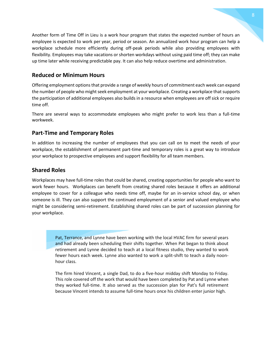Another form of Time Off in Lieu is a work hour program that states the expected number of hours an employee is expected to work per year, period or season. An annualized work hour program can help a workplace schedule more efficiently during off-peak periods while also providing employees with flexibility. Employees may take vacations or shorten workdays without using paid time off; they can make up time later while receiving predictable pay. It can also help reduce overtime and administration.

#### **Reduced or Minimum Hours**

Offering employment options that provide a range of weekly hours of commitment each week can expand the number of people who might seek employment at your workplace. Creating a workplace that supports the participation of additional employees also builds in a resource when employees are off sick or require time off.

There are several ways to accommodate employees who might prefer to work less than a full-time workweek.

#### **Part-Time and Temporary Roles**

In addition to increasing the number of employees that you can call on to meet the needs of your workplace, the establishment of permanent part-time and temporary roles is a great way to introduce your workplace to prospective employees and support flexibility for all team members.

#### **Shared Roles**

Workplaces may have full-time roles that could be shared, creating opportunities for people who want to work fewer hours. Workplaces can benefit from creating shared roles because it offers an additional employee to cover for a colleague who needs time off, maybe for an in-service school day, or when someone is ill. They can also support the continued employment of a senior and valued employee who might be considering semi-retirement. Establishing shared roles can be part of succession planning for your workplace.

> Pat, Terrance, and Lynne have been working with the local HVAC firm for several years and had already been scheduling their shifts together. When Pat began to think about retirement and Lynne decided to teach at a local fitness studio, they wanted to work fewer hours each week. Lynne also wanted to work a split-shift to teach a daily noonhour class.

> The firm hired Vincent, a single Dad, to do a five-hour midday shift Monday to Friday. This role covered off the work that would have been completed by Pat and Lynne when they worked full-time. It also served as the succession plan for Pat's full retirement because Vincent intends to assume full-time hours once his children enter junior high.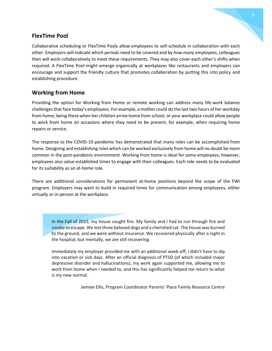#### **FlexTime Pool**

Collaborative scheduling or FlexTime Pools allow employees to self-schedule in collaboration with each other. Employers will indicate which periods need to be covered and by how many employees, colleagues then will work collaboratively to meet these requirements. They may also cover each other's shifts when required. A FlexTime Pool might emerge organically at workplaces like restaurants and employers can encourage and support the friendly culture that promotes collaboration by putting this into policy and establishing procedure.

#### **Working from Home**

Providing the option for Working from Home or remote working can address many life-work balance challenges that face today's employees. For example, a mother could do the last two hours of her workday from home, being there when her children arrive home from school, or your workplace could allow people to work from home on occasions where they need to be present, for example, when requiring home repairs or service.

The response to the COVID-19 pandemic has demonstrated that many roles can be accomplished from home. Designing and establishing roles which can be worked exclusively from home will no doubt be more common in the post-pandemic environment. Working from home is ideal for some employees; however, employees also value established times to engage with their colleagues. Each role needs to be evaluated for its suitability as an at-home role.

There are additional considerations for permanent at-home positions beyond the scope of the FWI program. Employers may want to build in required times for communication among employees, either virtually or in-person at the workplace.

In the Fall of 2015, my house caught fire. My family and I had to run through fire and smoke to escape. We lost three beloved dogs and a cherished cat. The house was burned to the ground, and we were without insurance. We recovered physically after a night in the hospital, but mentally, we are still recovering.

Immediately my employer provided me with an additional week-off; I didn't have to dip into vacation or sick days. After an official diagnosis of PTSD (of which included major depressive disorder and hallucinations), my work again supported me, allowing me to work from home when I needed to, and this has significantly helped me return to what is my new normal.

Jamiee Ellis, Program Coordinator Parents' Place Family Resource Centre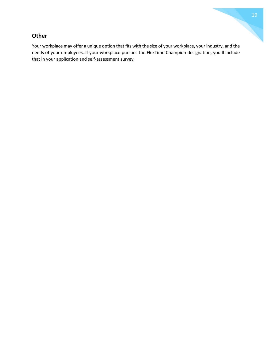#### **Other**

Your workplace may offer a unique option that fits with the size of your workplace, your industry, and the needs of your employees. If your workplace pursues the FlexTime Champion designation, you'll include that in your application and self-assessment survey.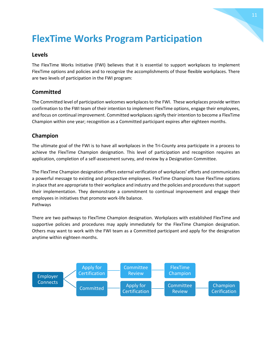### <span id="page-11-0"></span>**FlexTime Works Program Participation**

#### **Levels**

The FlexTime Works Initiative (FWI) believes that it is essential to support workplaces to implement FlexTime options and policies and to recognize the accomplishments of those flexible workplaces. There are two levels of participation in the FWI program:

#### **Committed**

The Committed level of participation welcomes workplaces to the FWI. These workplaces provide written confirmation to the FWI team of their intention to implement FlexTime options, engage their employees, and focus on continual improvement. Committed workplaces signify their intention to become a FlexTime Champion within one year; recognition as a Committed participant expires after eighteen months.

#### **Champion**

The ultimate goal of the FWI is to have all workplaces in the Tri-County area participate in a process to achieve the FlexTime Champion designation. This level of participation and recognition requires an application, completion of a self-assessment survey, and review by a Designation Committee.

The FlexTime Champion designation offers external verification of workplaces' efforts and communicates a powerful message to existing and prospective employees. FlexTime Champions have FlexTime options in place that are appropriate to their workplace and industry and the policies and procedures that support their implementation. They demonstrate a commitment to continual improvement and engage their employees in initiatives that promote work-life balance. Pathways

There are two pathways to FlexTime Champion designation. Workplaces with established FlexTime and supportive policies and procedures may apply immediately for the FlexTime Champion designation. Others may want to work with the FWI team as a Committed participant and apply for the designation anytime within eighteen months.

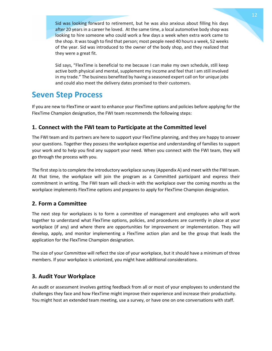Sid was looking forward to retirement, but he was also anxious about filling his days after 20 years in a career he loved. At the same time, a local automotive body shop was looking to hire someone who could work a few days a week when extra work came to the shop. It was tough to find that person; most people need 40 hours a week, 52 weeks of the year. Sid was introduced to the owner of the body shop, and they realized that they were a great fit.

Sid says, "FlexTime is beneficial to me because I can make my own schedule, still keep active both physical and mental, supplement my income and feel that I am still involved in my trade." The business benefited by having a seasoned expert call on for unique jobs and could also meet the delivery dates promised to their customers.

### **Seven Step Process**

If you are new to FlexTime or want to enhance your FlexTime options and policies before applying for the FlexTime Champion designation, the FWI team recommends the following steps:

#### **1. Connect with the FWI team to Participate at the Committed level**

The FWI team and its partners are here to support your FlexTime planning, and they are happy to answer your questions. Together they possess the workplace expertise and understanding of families to support your work and to help you find any support your need. When you connect with the FWI team, they will go through the process with you.

The first step is to complete the introductory workplace survey (Appendix A) and meet with the FWI team. At that time, the workplace will join the program as a Committed participant and express their commitment in writing. The FWI team will check-in with the workplace over the coming months as the workplace implements FlexTime options and prepares to apply for FlexTime Champion designation.

#### **2. Form a Committee**

The next step for workplaces is to form a committee of management and employees who will work together to understand what FlexTime options, policies, and procedures are currently in place at your workplace (if any) and where there are opportunities for improvement or implementation. They will develop, apply, and monitor implementing a FlexTime action plan and be the group that leads the application for the FlexTime Champion designation.

The size of your Committee will reflect the size of your workplace, but it should have a minimum of three members. If your workplace is unionized, you might have additional considerations.

#### **3. Audit Your Workplace**

An audit or assessment involves getting feedback from all or most of your employees to understand the challenges they face and how FlexTime might improve their experience and increase their productivity. You might host an extended team meeting, use a survey, or have one on one conversations with staff.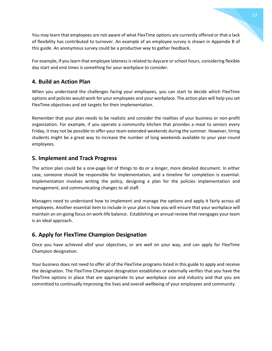You may learn that employees are not aware of what FlexTime options are currently offered or that a lack of flexibility has contributed to turnover. An example of an employee survey is shown in Appendix B of this guide. An anonymous survey could be a productive way to gather feedback.

For example, if you learn that employee lateness is related to daycare or school hours, considering flexible day start and end times is something for your workplace to consider.

#### **4. Build an Action Plan**

When you understand the challenges facing your employees, you can start to decide which FlexTime options and policies would work for your employees and your workplace. The action plan will help you set FlexTime objectives and set targets for their implementation.

Remember that your plan needs to be realistic and consider the realities of your business or non-profit organization. For example, if you operate a community kitchen that provides a meal to seniors every Friday, it may not be possible to offer your team extended weekends during the summer. However, hiring students might be a great way to increase the number of long weekends available to your year-round employees.

#### **5. Implement and Track Progress**

The action plan could be a one-page list of things to do or a longer, more detailed document. In either case, someone should be responsible for implementation, and a timeline for completion is essential. Implementation involves writing the policy, designing a plan for the policies implementation and management, and communicating changes to all staff.

Managers need to understand how to implement and manage the options and apply it fairly across all employees. Another essential item to include in your plan is how you will ensure that your workplace will maintain an on-going focus on work-life balance. Establishing an annual review that reengages your team is an ideal approach.

#### **6. Apply for FlexTime Champion Designation**

Once you have achieved allof your objectives, or are well on your way, and can apply for FlexTime Champion designation.

Your business does not need to offer all of the FlexTime programs listed in this guide to apply and receive the designation. The FlexTime Champion designation establishes or externally verifies that you have the FlexTime options in place that are appropriate to your workplace size and industry and that you are committed to continually improving the lives and overall wellbeing of your employees and community.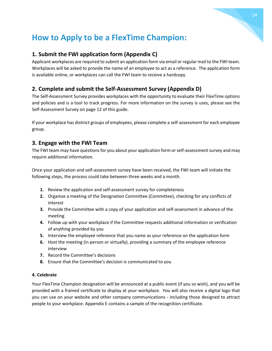### **How to Apply to be a FlexTime Champion:**

#### **1. Submit the FWI application form (Appendix C)**

Applicant workplaces are required to submit an application form via email or regular mail to the FWI team. Workplaces will be asked to provide the name of an employee to act as a reference. The application form is available online, or workplaces can call the FWI team to receive a hardcopy.

#### **2. Complete and submit the Self-Assessment Survey (Appendix D)**

The Self-Assessment Survey provides workplaces with the opportunity to evaluate their FlexTime options and policies and is a tool to track progress. For more information on the survey is uses, please see the Self-Assessment Survey on page 12 of this guide.

If your workplace has distinct groups of employees, please complete a self-assessment for each employee group.

#### **3. Engage with the FWI Team**

The FWI team may have questions for you about your application form or self-assessment survey and may require additional information.

Once your application and self-assessment survey have been received, the FWI team will initiate the following steps, the process could take between three weeks and a month.

- **1.** Review the application and self-assessment survey for completeness
- **2.** Organize a meeting of the Designation Committee (Committee), checking for any conflicts of interest
- **3.** Provide the Committee with a copy of your application and self-assessment in advance of the meeting
- **4.** Follow up with your workplace if the Committee requests additional information or verification of anything provided by you
- **5.** Interview the employee reference that you name as your reference on the application form
- **6.** Host the meeting (in person or virtually), providing a summary of the employee reference interview
- **7.** Record the Committee's decisions
- **8.** Ensure that the Committee's decision is communicated to you

#### **4. Celebrate**

Your FlexTime Champion designation will be announced at a public event (if you so wish), and you will be provided with a framed certificate to display at your workplace. You will also receive a digital logo that you can use on your website and other company communications - including those designed to attract people to your workplace. Appendix E contains a sample of the recognition certificate.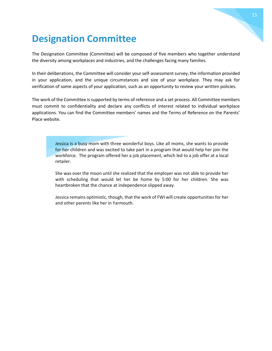### <span id="page-15-0"></span>**Designation Committee**

The Designation Committee (Committee) will be composed of five members who together understand the diversity among workplaces and industries, and the challenges facing many families.

In their deliberations, the Committee will consider your self-assessment survey, the information provided in your application, and the unique circumstances and size of your workplace. They may ask for verification of some aspects of your application, such as an opportunity to review your written policies.

The work of the Committee is supported by terms of reference and a set process. All Committee members must commit to confidentiality and declare any conflicts of interest related to individual workplace applications. You can find the Committee members' names and the Terms of Reference on the Parents' Place website.

> Jessica is a busy mom with three wonderful boys. Like all moms, she wants to provide for her children and was excited to take part in a program that would help her join the workforce. The program offered her a job placement, which led to a job offer at a local retailer.

> She was over the moon until she realized that the employer was not able to provide her with scheduling that would let her be home by 5:00 for her children. She was heartbroken that the chance at independence slipped away.

> Jessica remains optimistic, though, that the work of FWI will create opportunities for her and other parents like her in Yarmouth.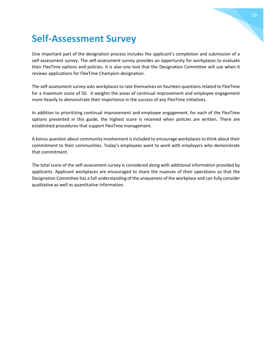## <span id="page-16-0"></span>**Self-Assessment Survey**

One important part of the designation process includes the applicant's completion and submission of a self-assessment survey. The self-assessment survey provides an opportunity for workplaces to evaluate their FlexTime options and policies. It is also one tool that the Designation Committee will use when it reviews applications for FlexTime Champion designation.

The self-assessment survey asks workplaces to rate themselves on fourteen questions related to FlexTime for a maximum score of 50. It weights the areas of continual improvement and employee engagement more heavily to demonstrate their importance in the success of any FlexTime initiatives.

In addition to prioritizing continual improvement and employee engagement, for each of the FlexTime options presented in this guide, the highest score is received when policies are written. There are established procedures that support FlexTime management.

A bonus question about community involvement is included to encourage workplaces to think about their commitment to their communities. Today's employees want to work with employers who demonstrate that commitment.

The total score of the self-assessment survey is considered along with additional information provided by applicants. Applicant workplaces are encouraged to share the nuances of their operations so that the Designation Committee has a full understanding of the uniqueness of the workplace and can fully consider qualitative as well as quantitative information.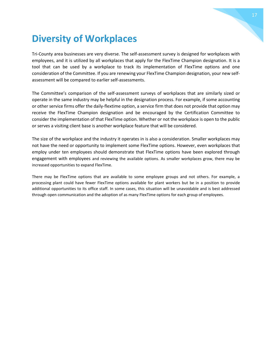#### 17

### <span id="page-17-0"></span>**Diversity of Workplaces**

Tri-County area businesses are very diverse. The self-assessment survey is designed for workplaces with employees, and it is utilized by all workplaces that apply for the FlexTime Champion designation. It is a tool that can be used by a workplace to track its implementation of FlexTime options and one consideration of the Committee. If you are renewing your FlexTime Champion designation, your new selfassessment will be compared to earlier self-assessments.

The Committee's comparison of the self-assessment surveys of workplaces that are similarly sized or operate in the same industry may be helpful in the designation process. For example, if some accounting or other service firms offer the daily-flextime option, a service firm that does not provide that option may receive the FlexTime Champion designation and be encouraged by the Certification Committee to consider the implementation of that FlexTime option. Whether or not the workplace is open to the public or serves a visiting client base is another workplace feature that will be considered.

The size of the workplace and the industry it operates in is also a consideration. Smaller workplaces may not have the need or opportunity to implement some FlexTime options. However, even workplaces that employ under ten employees should demonstrate that FlexTime options have been explored through engagement with employees and reviewing the available options. As smaller workplaces grow, there may be increased opportunities to expand FlexTime.

There may be FlexTime options that are available to some employee groups and not others. For example, a processing plant could have fewer FlexTime options available for plant workers but be in a position to provide additional opportunities to its office staff. In some cases, this situation will be unavoidable and is best addressed through open communication and the adoption of as many FlexTime options for each group of employees.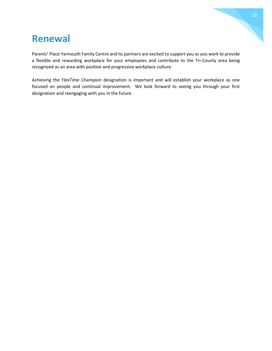### <span id="page-18-0"></span>**Renewal**

Parents' Place Yarmouth Family Centre and its partners are excited to support you as you work to provide a flexible and rewarding workplace for your employees and contribute to the Tri-County area being recognized as an area with positive and progressive workplace culture.

Achieving the FlexTime Champion designation is important and will establish your workplace as one focused on people and continual improvement. We look forward to seeing you through your first designation and reengaging with you in the future.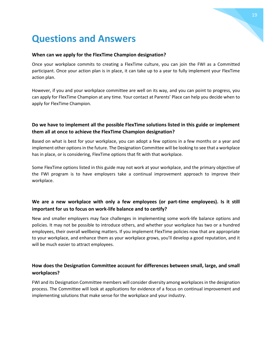

### **When can we apply for the FlexTime Champion designation?**

<span id="page-19-0"></span>**Questions and Answers**

Once your workplace commits to creating a FlexTime culture, you can join the FWI as a Committed participant. Once your action plan is in place, it can take up to a year to fully implement your FlexTime action plan.

However, if you and your workplace committee are well on its way, and you can point to progress, you can apply for FlexTime Champion at any time. Your contact at Parents' Place can help you decide when to apply for FlexTime Champion.

#### **Do we have to implement all the possible FlexTime solutions listed in this guide or implement them all at once to achieve the FlexTime Champion designation?**

Based on what is best for your workplace, you can adopt a few options in a few months or a year and implement other options in the future. The Designation Committee will be looking to see that a workplace has in place, or is considering, FlexTime options that fit with that workplace.

Some FlexTime options listed in this guide may not work at your workplace, and the primary objective of the FWI program is to have employers take a continual improvement approach to improve their workplace.

#### **We are a new workplace with only a few employees (or part-time employees). Is it still important for us to focus on work-life balance and to certify?**

New and smaller employers may face challenges in implementing some work-life balance options and policies. It may not be possible to introduce others, and whether your workplace has two or a hundred employees, their overall wellbeing matters. If you implement FlexTime policies now that are appropriate to your workplace, and enhance them as your workplace grows, you'll develop a good reputation, and it will be much easier to attract employees.

#### **How does the Designation Committee account for differences between small, large, and small workplaces?**

FWI and its Designation Committee members will consider diversity among workplaces in the designation process. The Committee will look at applications for evidence of a focus on continual improvement and implementing solutions that make sense for the workplace and your industry.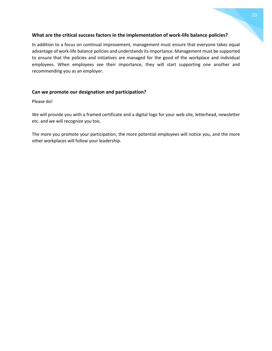#### **What are the critical success factors in the implementation of work-life balance policies?**

In addition to a focus on continual improvement, management must ensure that everyone takes equal advantage of work-life balance policies and understands its importance. Management must be supported to ensure that the policies and initiatives are managed for the good of the workplace and individual employees. When employees see their importance, they will start supporting one another and recommending you as an employer.

#### **Can we promote our designation and participation?**

Please do!

We will provide you with a framed certificate and a digital logo for your web site, letterhead, newsletter etc. and we will recognize you too.

The more you promote your participation, the more potential employees will notice you, and the more other workplaces will follow your leadership.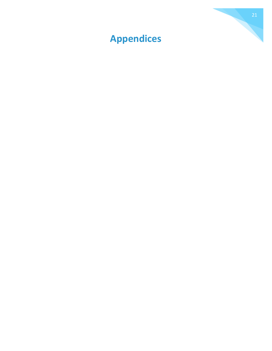<span id="page-21-0"></span>

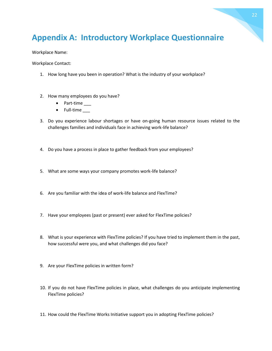### <span id="page-22-0"></span>**Appendix A: Introductory Workplace Questionnaire**

Workplace Name:

Workplace Contact:

- 1. How long have you been in operation? What is the industry of your workplace?
- 2. How many employees do you have?
	- Part-time \_\_\_
	- Full-time \_\_\_
- 3. Do you experience labour shortages or have on-going human resource issues related to the challenges families and individuals face in achieving work-life balance?
- 4. Do you have a process in place to gather feedback from your employees?
- 5. What are some ways your company promotes work-life balance?
- 6. Are you familiar with the idea of work-life balance and FlexTime?
- 7. Have your employees (past or present) ever asked for FlexTime policies?
- 8. What is your experience with FlexTime policies? If you have tried to implement them in the past, how successful were you, and what challenges did you face?
- 9. Are your FlexTime policies in written form?
- 10. If you do not have FlexTime policies in place, what challenges do you anticipate implementing FlexTime policies?
- 11. How could the FlexTime Works Initiative support you in adopting FlexTime policies?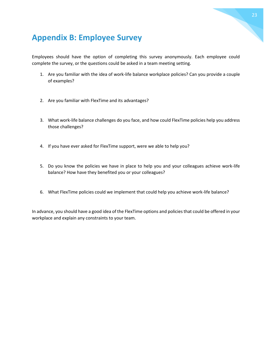

### <span id="page-23-0"></span>**Appendix B: Employee Survey**

Employees should have the option of completing this survey anonymously. Each employee could complete the survey, or the questions could be asked in a team meeting setting.

- 1. Are you familiar with the idea of work-life balance workplace policies? Can you provide a couple of examples?
- 2. Are you familiar with FlexTime and its advantages?
- 3. What work-life balance challenges do you face, and how could FlexTime policies help you address those challenges?
- 4. If you have ever asked for FlexTime support, were we able to help you?
- 5. Do you know the policies we have in place to help you and your colleagues achieve work-life balance? How have they benefited you or your colleagues?
- 6. What FlexTime policies could we implement that could help you achieve work-life balance?

In advance, you should have a good idea of the FlexTime options and policies that could be offered in your workplace and explain any constraints to your team.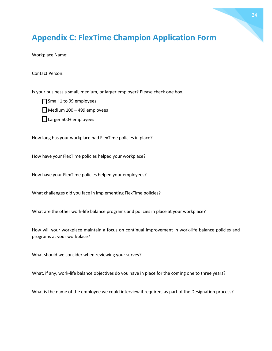### <span id="page-24-0"></span>**Appendix C: FlexTime Champion Application Form**

Workplace Name:

Contact Person:

Is your business a small, medium, or larger employer? Please check one box.

Small 1 to 99 employees

 $\Box$  Medium 100 – 499 employees

□ Larger 500+ employees

How long has your workplace had FlexTime policies in place?

How have your FlexTime policies helped your workplace?

How have your FlexTime policies helped your employees?

What challenges did you face in implementing FlexTime policies?

What are the other work-life balance programs and policies in place at your workplace?

How will your workplace maintain a focus on continual improvement in work-life balance policies and programs at your workplace?

What should we consider when reviewing your survey?

What, if any, work-life balance objectives do you have in place for the coming one to three years?

What is the name of the employee we could interview if required, as part of the Designation process?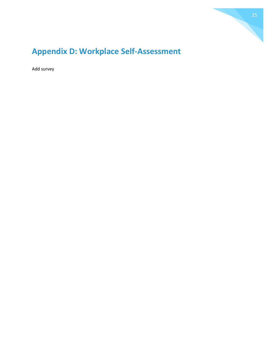

### <span id="page-25-0"></span>**Appendix D: Workplace Self-Assessment**

Add survey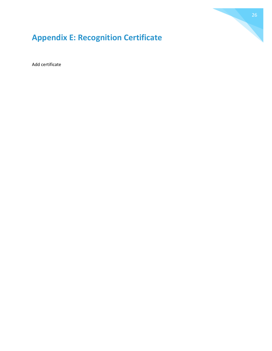

### <span id="page-26-0"></span>**Appendix E: Recognition Certificate**

Add certificate